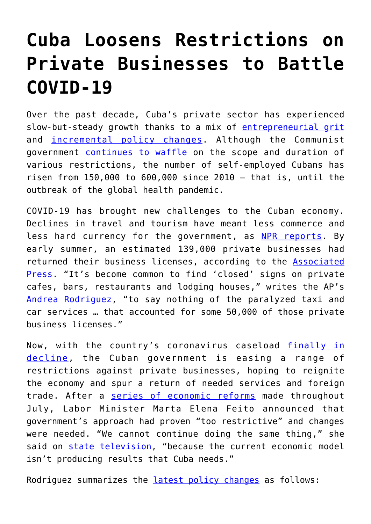## **[Cuba Loosens Restrictions on](https://intellectualtakeout.org/2020/08/cuba-loosens-restrictions-on-private-businesses-to-battle-covid-19/) [Private Businesses to Battle](https://intellectualtakeout.org/2020/08/cuba-loosens-restrictions-on-private-businesses-to-battle-covid-19/) [COVID-19](https://intellectualtakeout.org/2020/08/cuba-loosens-restrictions-on-private-businesses-to-battle-covid-19/)**

Over the past decade, Cuba's private sector has experienced slow-but-steady growth thanks to a mix of [entrepreneurial grit](https://blog.acton.org/archives/101256-startup-cuba-what-we-can-learn-from-the-countrys-emerging-entrepreneurs.html) and [incremental policy changes](https://www.reuters.com/article/us-cuba-politics-castro-changes-explaine/explainer-the-state-of-raul-castros-economic-reforms-in-cuba-idUSKBN1HO0CL). Although the Communist government [continues to waffle](https://www.france24.com/en/20181205-cuba-set-tighten-screws-private-sector) on the scope and duration of various restrictions, the number of self-employed Cubans has risen from 150,000 to 600,000 since 2010 – that is, until the outbreak of the global health pandemic.

COVID-19 has brought new challenges to the Cuban economy. Declines in travel and tourism have meant less commerce and less hard currency for the government, as [NPR reports.](https://www.npr.org/2020/08/01/897904872/pandemic-may-be-the-push-to-open-cubas-state-controlled-economy) By early summer, an estimated 139,000 private businesses had returned their business licenses, according to the [Associated](https://www.startribune.com/pandemic-crisis-squeezes-cuba-s-fragile-private-businesses/570048152/?refresh=true) [Press.](https://www.startribune.com/pandemic-crisis-squeezes-cuba-s-fragile-private-businesses/570048152/?refresh=true) "It's become common to find 'closed' signs on private cafes, bars, restaurants and lodging houses," writes the AP's [Andrea Rodriguez,](https://www.startribune.com/pandemic-crisis-squeezes-cuba-s-fragile-private-businesses/570048152/?refresh=true) "to say nothing of the paralyzed taxi and car services … that accounted for some 50,000 of those private business licenses."

Now, with the country's coronavirus caseload [finally in](https://www.jdsupra.com/legalnews/cuba-update-covid-19-economic-reforms-35081/) [decline](https://www.jdsupra.com/legalnews/cuba-update-covid-19-economic-reforms-35081/), the Cuban government is easing a range of restrictions against private businesses, hoping to reignite the economy and spur a return of needed services and foreign trade. After a [series of economic reforms](https://www.akerman.com/en/perspectives/cuba-update-covid-19-economic-reforms-and-helms-burton-title-iii-developments.html) made throughout July, Labor Minister Marta Elena Feito announced that government's approach had proven "too restrictive" and changes were needed. "We cannot continue doing the same thing," she said on [state television](https://www.youtube.com/watch?v=XdL0uDTP5Qs), "because the current economic model isn't producing results that Cuba needs."

Rodriguez summarizes the [latest policy changes](https://www.washingtonpost.com/world/the_americas/economy-tanking-cuba-launches-some-long-delayed-reforms/2020/08/06/a130c546-d858-11ea-a788-2ce86ce81129_story.html) as follows: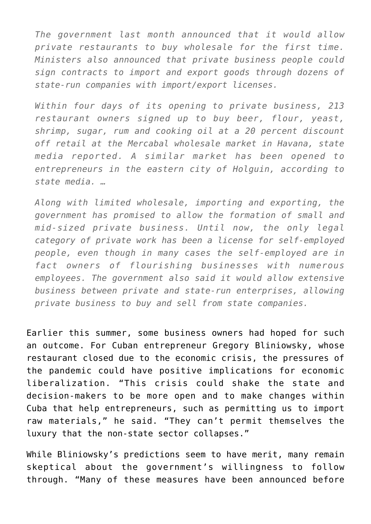*The government last month announced that it would allow private restaurants to buy wholesale for the first time. Ministers also announced that private business people could sign contracts to import and export goods through dozens of state-run companies with import/export licenses.*

*Within four days of its opening to private business, 213 restaurant owners signed up to buy beer, flour, yeast, shrimp, sugar, rum and cooking oil at a 20 percent discount off retail at the Mercabal wholesale market in Havana, state media reported. A similar market has been opened to entrepreneurs in the eastern city of Holguin, according to state media. …*

*Along with limited wholesale, importing and exporting, the government has promised to allow the formation of small and mid-sized private business. Until now, the only legal category of private work has been a license for self-employed people, even though in many cases the self-employed are in fact owners of flourishing businesses with numerous employees. The government also said it would allow extensive business between private and state-run enterprises, allowing private business to buy and sell from state companies.*

Earlier this summer, some business owners had hoped for such an outcome. For Cuban entrepreneur Gregory Bliniowsky, whose restaurant closed due to the economic crisis, the pressures of the pandemic could have positive implications for economic liberalization. "This crisis could shake the state and decision-makers to be more open and to make changes within Cuba that help entrepreneurs, such as permitting us to import raw materials," he said. "They can't permit themselves the luxury that the non-state sector collapses."

While Bliniowsky's predictions seem to have merit, many remain skeptical about the government's willingness to follow through. "Many of these measures have been announced before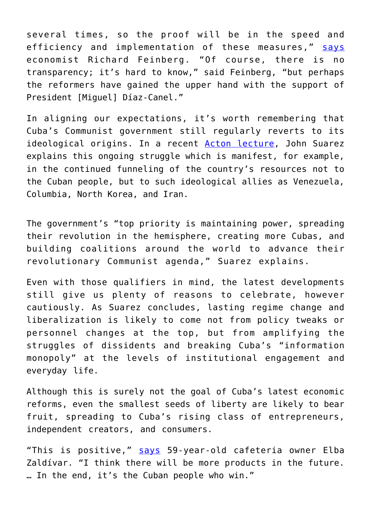several times, so the proof will be in the speed and efficiency and implementation of these measures," [says](https://www.npr.org/2020/08/01/897904872/pandemic-may-be-the-push-to-open-cubas-state-controlled-economy) economist Richard Feinberg. "Of course, there is no transparency; it's hard to know," said Feinberg, "but perhaps the reformers have gained the upper hand with the support of President [Miguel] Díaz-Canel."

In aligning our expectations, it's worth remembering that Cuba's Communist government still regularly reverts to its ideological origins. In a recent [Acton lecture](https://www.acton.org/video/john-suarez-tragedy-communism-cuba), John Suarez explains this ongoing struggle which is manifest, for example, in the continued funneling of the country's resources not to the Cuban people, but to such ideological allies as Venezuela, Columbia, North Korea, and Iran.

The government's "top priority is maintaining power, spreading their revolution in the hemisphere, creating more Cubas, and building coalitions around the world to advance their revolutionary Communist agenda," Suarez explains.

Even with those qualifiers in mind, the latest developments still give us plenty of reasons to celebrate, however cautiously. As Suarez concludes, lasting regime change and liberalization is likely to come not from policy tweaks or personnel changes at the top, but from amplifying the struggles of dissidents and breaking Cuba's "information monopoly" at the levels of institutional engagement and everyday life.

Although this is surely not the goal of Cuba's latest economic reforms, even the smallest seeds of liberty are likely to bear fruit, spreading to Cuba's rising class of entrepreneurs, independent creators, and consumers.

"This is positive," [says](https://www.sun-sentinel.com/coronavirus/ct-nw-cuba-economy-reforms-20200806-xcdzcii6jjdunoa2cbmza4okka-story.html) 59-year-old cafeteria owner Elba Zaldívar. "I think there will be more products in the future. … In the end, it's the Cuban people who win."